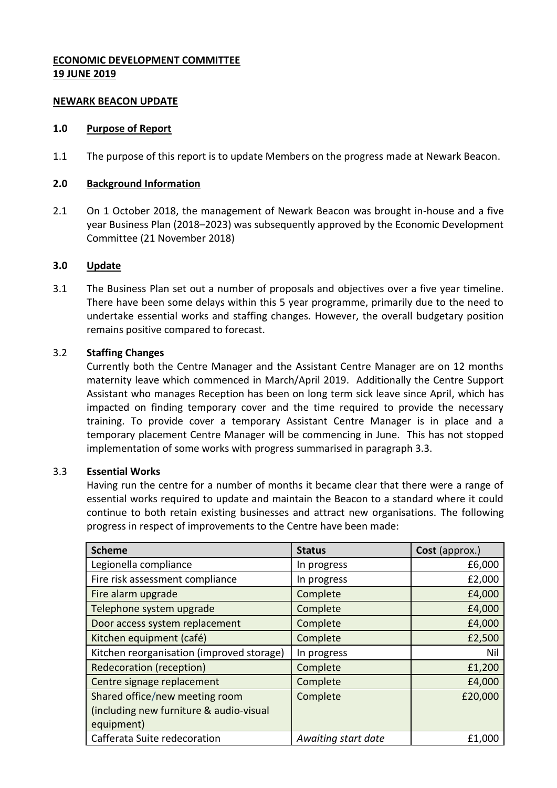# **ECONOMIC DEVELOPMENT COMMITTEE 19 JUNE 2019**

## **NEWARK BEACON UPDATE**

#### **1.0 Purpose of Report**

1.1 The purpose of this report is to update Members on the progress made at Newark Beacon.

#### **2.0 Background Information**

2.1 On 1 October 2018, the management of Newark Beacon was brought in-house and a five year Business Plan (2018–2023) was subsequently approved by the Economic Development Committee (21 November 2018)

## **3.0 Update**

3.1 The Business Plan set out a number of proposals and objectives over a five year timeline. There have been some delays within this 5 year programme, primarily due to the need to undertake essential works and staffing changes. However, the overall budgetary position remains positive compared to forecast.

## 3.2 **Staffing Changes**

Currently both the Centre Manager and the Assistant Centre Manager are on 12 months maternity leave which commenced in March/April 2019. Additionally the Centre Support Assistant who manages Reception has been on long term sick leave since April, which has impacted on finding temporary cover and the time required to provide the necessary training. To provide cover a temporary Assistant Centre Manager is in place and a temporary placement Centre Manager will be commencing in June. This has not stopped implementation of some works with progress summarised in paragraph 3.3.

## 3.3 **Essential Works**

Having run the centre for a number of months it became clear that there were a range of essential works required to update and maintain the Beacon to a standard where it could continue to both retain existing businesses and attract new organisations. The following progress in respect of improvements to the Centre have been made:

| <b>Scheme</b>                             | <b>Status</b>       | Cost (approx.) |
|-------------------------------------------|---------------------|----------------|
| Legionella compliance                     | In progress         | £6,000         |
| Fire risk assessment compliance           | In progress         | £2,000         |
| Fire alarm upgrade                        | Complete            | £4,000         |
| Telephone system upgrade                  | Complete            | £4,000         |
| Door access system replacement            | Complete            | £4,000         |
| Kitchen equipment (café)                  | Complete            | £2,500         |
| Kitchen reorganisation (improved storage) | In progress         | Nil            |
| <b>Redecoration (reception)</b>           | Complete            | £1,200         |
| Centre signage replacement                | Complete            | £4,000         |
| Shared office/new meeting room            | Complete            | £20,000        |
| (including new furniture & audio-visual   |                     |                |
| equipment)                                |                     |                |
| Cafferata Suite redecoration              | Awaiting start date | £1,000         |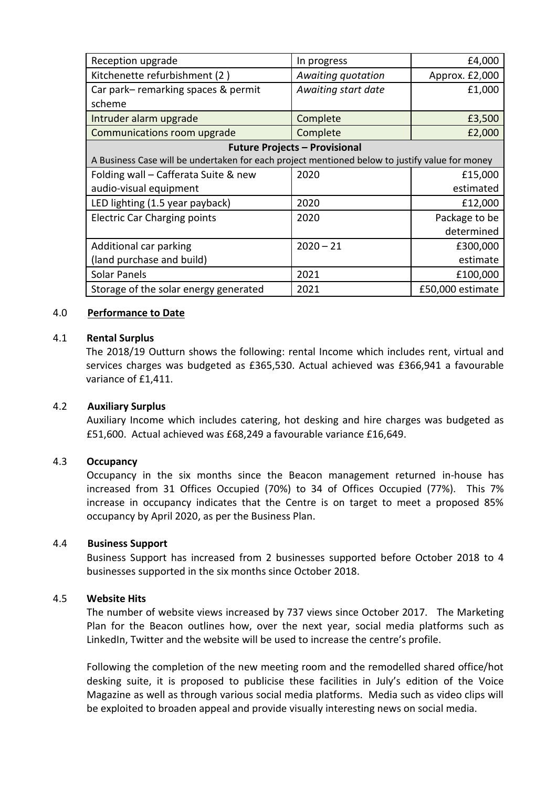| Reception upgrade                                                                              | In progress         | £4,000           |  |
|------------------------------------------------------------------------------------------------|---------------------|------------------|--|
| Kitchenette refurbishment (2)                                                                  | Awaiting quotation  | Approx. £2,000   |  |
| Car park-remarking spaces & permit                                                             | Awaiting start date | £1,000           |  |
| scheme                                                                                         |                     |                  |  |
| Intruder alarm upgrade                                                                         | Complete            | £3,500           |  |
| Communications room upgrade                                                                    | Complete            | £2,000           |  |
| <b>Future Projects - Provisional</b>                                                           |                     |                  |  |
| A Business Case will be undertaken for each project mentioned below to justify value for money |                     |                  |  |
| Folding wall - Cafferata Suite & new                                                           | 2020                | £15,000          |  |
| audio-visual equipment                                                                         |                     | estimated        |  |
| LED lighting (1.5 year payback)                                                                | 2020                | £12,000          |  |
| <b>Electric Car Charging points</b>                                                            | 2020                | Package to be    |  |
|                                                                                                |                     | determined       |  |
| Additional car parking                                                                         | $2020 - 21$         | £300,000         |  |
| (land purchase and build)                                                                      |                     | estimate         |  |
| <b>Solar Panels</b>                                                                            | 2021                | £100,000         |  |
| Storage of the solar energy generated                                                          | 2021                | £50,000 estimate |  |

#### 4.0 **Performance to Date**

#### 4.1 **Rental Surplus**

The 2018/19 Outturn shows the following: rental Income which includes rent, virtual and services charges was budgeted as £365,530. Actual achieved was £366,941 a favourable variance of £1,411.

#### 4.2 **Auxiliary Surplus**

Auxiliary Income which includes catering, hot desking and hire charges was budgeted as £51,600. Actual achieved was £68,249 a favourable variance £16,649.

## 4.3 **Occupancy**

Occupancy in the six months since the Beacon management returned in-house has increased from 31 Offices Occupied (70%) to 34 of Offices Occupied (77%). This 7% increase in occupancy indicates that the Centre is on target to meet a proposed 85% occupancy by April 2020, as per the Business Plan.

#### 4.4 **Business Support**

Business Support has increased from 2 businesses supported before October 2018 to 4 businesses supported in the six months since October 2018.

## 4.5 **Website Hits**

The number of website views increased by 737 views since October 2017. The Marketing Plan for the Beacon outlines how, over the next year, social media platforms such as LinkedIn, Twitter and the website will be used to increase the centre's profile.

Following the completion of the new meeting room and the remodelled shared office/hot desking suite, it is proposed to publicise these facilities in July's edition of the Voice Magazine as well as through various social media platforms. Media such as video clips will be exploited to broaden appeal and provide visually interesting news on social media.